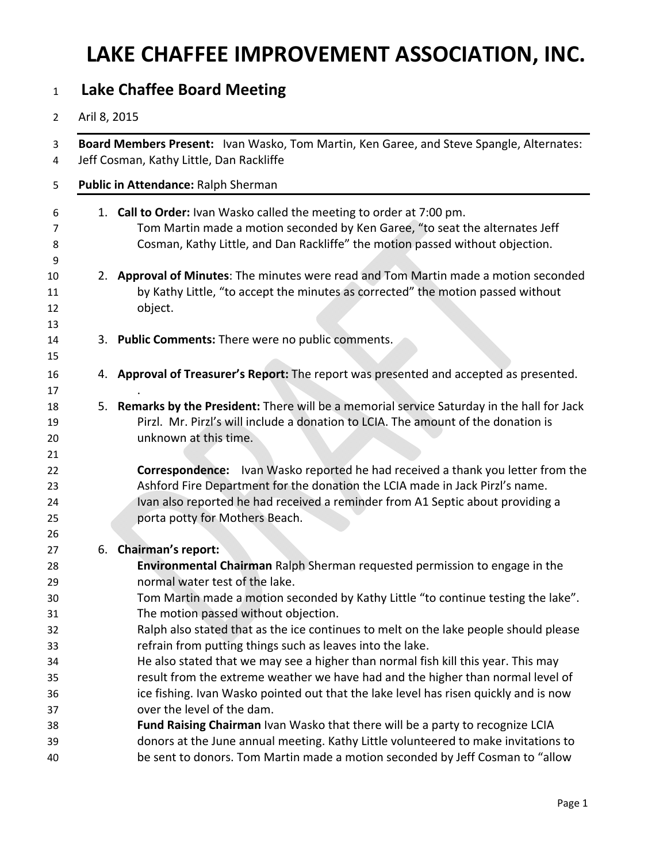## **LAKE CHAFFEE IMPROVEMENT ASSOCIATION, INC.**

## **Lake Chaffee Board Meeting**

## Aril 8, 2015

| Board Members Present: Ivan Wasko, Tom Martin, Ken Garee, and Steve Spangle, Alternates:<br>Jeff Cosman, Kathy Little, Dan Rackliffe                                                                                                                                                       |
|--------------------------------------------------------------------------------------------------------------------------------------------------------------------------------------------------------------------------------------------------------------------------------------------|
| Public in Attendance: Ralph Sherman                                                                                                                                                                                                                                                        |
| 1. Call to Order: Ivan Wasko called the meeting to order at 7:00 pm.<br>Tom Martin made a motion seconded by Ken Garee, "to seat the alternates Jeff<br>Cosman, Kathy Little, and Dan Rackliffe" the motion passed without objection.                                                      |
| 2. Approval of Minutes: The minutes were read and Tom Martin made a motion seconded<br>by Kathy Little, "to accept the minutes as corrected" the motion passed without<br>object.                                                                                                          |
| 3. Public Comments: There were no public comments.                                                                                                                                                                                                                                         |
| 4. Approval of Treasurer's Report: The report was presented and accepted as presented.                                                                                                                                                                                                     |
| Remarks by the President: There will be a memorial service Saturday in the hall for Jack<br>5.<br>Pirzl. Mr. Pirzl's will include a donation to LCIA. The amount of the donation is<br>unknown at this time.                                                                               |
| <b>Correspondence:</b> Ivan Wasko reported he had received a thank you letter from the<br>Ashford Fire Department for the donation the LCIA made in Jack Pirzl's name.<br>Ivan also reported he had received a reminder from A1 Septic about providing a<br>porta potty for Mothers Beach. |
| <b>Chairman's report:</b><br>6.                                                                                                                                                                                                                                                            |
| Environmental Chairman Ralph Sherman requested permission to engage in the<br>normal water test of the lake.                                                                                                                                                                               |
| Tom Martin made a motion seconded by Kathy Little "to continue testing the lake".<br>The motion passed without objection.                                                                                                                                                                  |
| Ralph also stated that as the ice continues to melt on the lake people should please<br>refrain from putting things such as leaves into the lake.                                                                                                                                          |
| He also stated that we may see a higher than normal fish kill this year. This may                                                                                                                                                                                                          |
| result from the extreme weather we have had and the higher than normal level of                                                                                                                                                                                                            |
| ice fishing. Ivan Wasko pointed out that the lake level has risen quickly and is now                                                                                                                                                                                                       |
| over the level of the dam.                                                                                                                                                                                                                                                                 |
| Fund Raising Chairman Ivan Wasko that there will be a party to recognize LCIA<br>donors at the June annual meeting. Kathy Little volunteered to make invitations to<br>be sent to donors. Tom Martin made a motion seconded by Jeff Cosman to "allow                                       |
|                                                                                                                                                                                                                                                                                            |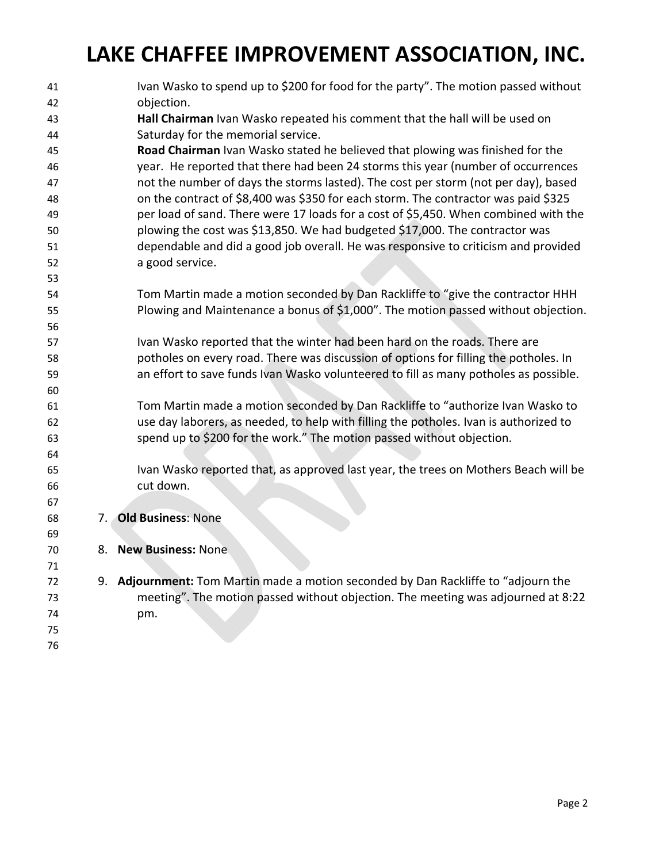## **LAKE CHAFFEE IMPROVEMENT ASSOCIATION, INC.**

| 41       |    | Ivan Wasko to spend up to \$200 for food for the party". The motion passed without                                                                                       |
|----------|----|--------------------------------------------------------------------------------------------------------------------------------------------------------------------------|
| 42       |    | objection.                                                                                                                                                               |
| 43       |    | Hall Chairman Ivan Wasko repeated his comment that the hall will be used on                                                                                              |
| 44       |    | Saturday for the memorial service.                                                                                                                                       |
| 45       |    | Road Chairman Ivan Wasko stated he believed that plowing was finished for the                                                                                            |
| 46       |    | year. He reported that there had been 24 storms this year (number of occurrences                                                                                         |
| 47<br>48 |    | not the number of days the storms lasted). The cost per storm (not per day), based<br>on the contract of \$8,400 was \$350 for each storm. The contractor was paid \$325 |
| 49       |    | per load of sand. There were 17 loads for a cost of \$5,450. When combined with the                                                                                      |
| 50       |    | plowing the cost was \$13,850. We had budgeted \$17,000. The contractor was                                                                                              |
| 51       |    | dependable and did a good job overall. He was responsive to criticism and provided                                                                                       |
| 52       |    | a good service.                                                                                                                                                          |
| 53       |    |                                                                                                                                                                          |
| 54       |    | Tom Martin made a motion seconded by Dan Rackliffe to "give the contractor HHH                                                                                           |
| 55       |    | Plowing and Maintenance a bonus of \$1,000". The motion passed without objection.                                                                                        |
| 56       |    |                                                                                                                                                                          |
| 57       |    | Ivan Wasko reported that the winter had been hard on the roads. There are                                                                                                |
| 58       |    | potholes on every road. There was discussion of options for filling the potholes. In                                                                                     |
| 59       |    | an effort to save funds Ivan Wasko volunteered to fill as many potholes as possible.                                                                                     |
| 60       |    |                                                                                                                                                                          |
| 61       |    | Tom Martin made a motion seconded by Dan Rackliffe to "authorize Ivan Wasko to                                                                                           |
| 62       |    | use day laborers, as needed, to help with filling the potholes. Ivan is authorized to                                                                                    |
| 63       |    | spend up to \$200 for the work." The motion passed without objection.                                                                                                    |
| 64       |    |                                                                                                                                                                          |
| 65       |    | Ivan Wasko reported that, as approved last year, the trees on Mothers Beach will be                                                                                      |
| 66       |    | cut down.                                                                                                                                                                |
| 67       |    |                                                                                                                                                                          |
| 68       | 7. | <b>Old Business: None</b>                                                                                                                                                |
| 69       |    |                                                                                                                                                                          |
| 70       | 8. | <b>New Business: None</b>                                                                                                                                                |
| 71       |    |                                                                                                                                                                          |
| 72       |    | 9. Adjournment: Tom Martin made a motion seconded by Dan Rackliffe to "adjourn the                                                                                       |
| 73       |    | meeting". The motion passed without objection. The meeting was adjourned at 8:22                                                                                         |
| 74       |    | pm.                                                                                                                                                                      |
| 75       |    |                                                                                                                                                                          |
| 76       |    |                                                                                                                                                                          |